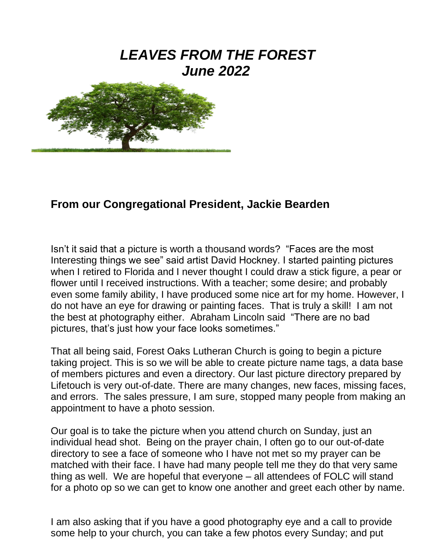# *LEAVES FROM THE FOREST June 2022*



### **From our Congregational President, Jackie Bearden**

Isn't it said that a picture is worth a thousand words? "Faces are the most Interesting things we see" said artist David Hockney. I started painting pictures when I retired to Florida and I never thought I could draw a stick figure, a pear or flower until I received instructions. With a teacher; some desire; and probably even some family ability, I have produced some nice art for my home. However, I do not have an eye for drawing or painting faces. That is truly a skill! I am not the best at photography either. Abraham Lincoln said "There are no bad pictures, that's just how your face looks sometimes."

That all being said, Forest Oaks Lutheran Church is going to begin a picture taking project. This is so we will be able to create picture name tags, a data base of members pictures and even a directory. Our last picture directory prepared by Lifetouch is very out-of-date. There are many changes, new faces, missing faces, and errors. The sales pressure, I am sure, stopped many people from making an appointment to have a photo session.

Our goal is to take the picture when you attend church on Sunday, just an individual head shot. Being on the prayer chain, I often go to our out-of-date directory to see a face of someone who I have not met so my prayer can be matched with their face. I have had many people tell me they do that very same thing as well. We are hopeful that everyone – all attendees of FOLC will stand for a photo op so we can get to know one another and greet each other by name.

I am also asking that if you have a good photography eye and a call to provide some help to your church, you can take a few photos every Sunday; and put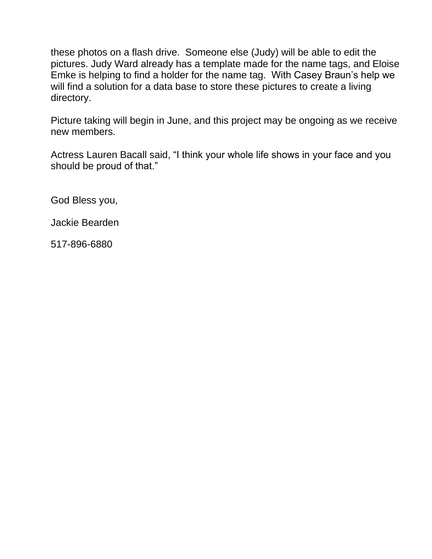these photos on a flash drive. Someone else (Judy) will be able to edit the pictures. Judy Ward already has a template made for the name tags, and Eloise Emke is helping to find a holder for the name tag. With Casey Braun's help we will find a solution for a data base to store these pictures to create a living directory.

Picture taking will begin in June, and this project may be ongoing as we receive new members.

Actress Lauren Bacall said, "I think your whole life shows in your face and you should be proud of that."

God Bless you,

Jackie Bearden

517-896-6880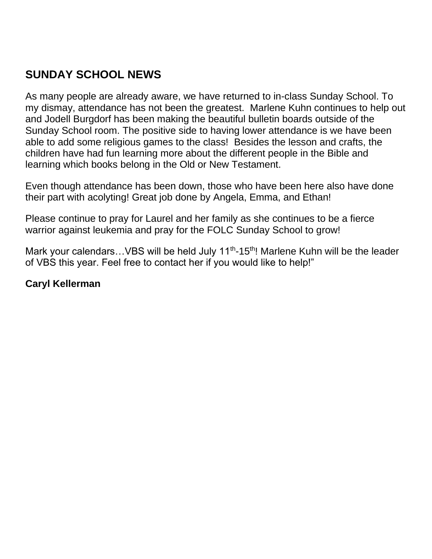# **SUNDAY SCHOOL NEWS**

As many people are already aware, we have returned to in-class Sunday School. To my dismay, attendance has not been the greatest. Marlene Kuhn continues to help out and Jodell Burgdorf has been making the beautiful bulletin boards outside of the Sunday School room. The positive side to having lower attendance is we have been able to add some religious games to the class! Besides the lesson and crafts, the children have had fun learning more about the different people in the Bible and learning which books belong in the Old or New Testament.

Even though attendance has been down, those who have been here also have done their part with acolyting! Great job done by Angela, Emma, and Ethan!

Please continue to pray for Laurel and her family as she continues to be a fierce warrior against leukemia and pray for the FOLC Sunday School to grow!

Mark your calendars...VBS will be held July 11<sup>th</sup>-15<sup>th</sup>! Marlene Kuhn will be the leader of VBS this year. Feel free to contact her if you would like to help!"

#### **Caryl Kellerman**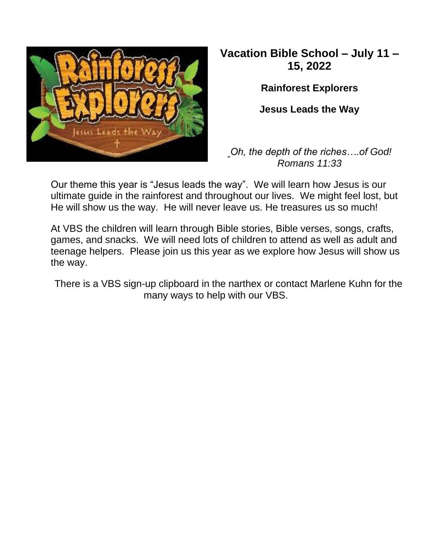

# **Vacation Bible School – July 11 – 15, 2022**

**Rainforest Explorers**

**Jesus Leads the Way**

*Oh, the depth of the riches….of God! Romans 11:33*

Our theme this year is "Jesus leads the way". We will learn how Jesus is our ultimate guide in the rainforest and throughout our lives. We might feel lost, but He will show us the way. He will never leave us. He treasures us so much!

At VBS the children will learn through Bible stories, Bible verses, songs, crafts, games, and snacks. We will need lots of children to attend as well as adult and teenage helpers. Please join us this year as we explore how Jesus will show us the way.

There is a VBS sign-up clipboard in the narthex or contact Marlene Kuhn for the many ways to help with our VBS.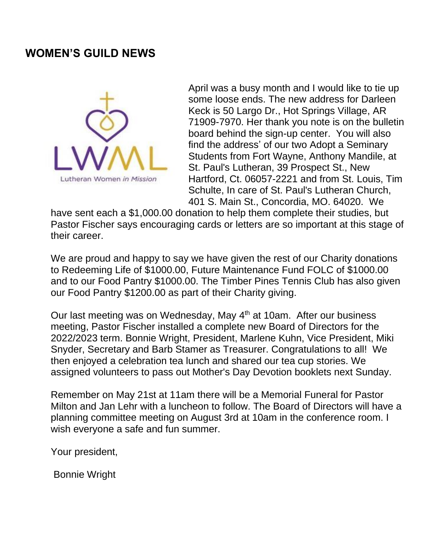#### **WOMEN'S GUILD NEWS**



April was a busy month and I would like to tie up some loose ends. The new address for Darleen Keck is 50 Largo Dr., Hot Springs Village, AR 71909-7970. Her thank you note is on the bulletin board behind the sign-up center. You will also find the address' of our two Adopt a Seminary Students from Fort Wayne, Anthony Mandile, at St. Paul's Lutheran, 39 Prospect St., New Hartford, Ct. 06057-2221 and from St. Louis, Tim Schulte, In care of St. Paul's Lutheran Church, 401 S. Main St., Concordia, MO. 64020. We

have sent each a \$1,000.00 donation to help them complete their studies, but Pastor Fischer says encouraging cards or letters are so important at this stage of their career.

We are proud and happy to say we have given the rest of our Charity donations to Redeeming Life of \$1000.00, Future Maintenance Fund FOLC of \$1000.00 and to our Food Pantry \$1000.00. The Timber Pines Tennis Club has also given our Food Pantry \$1200.00 as part of their Charity giving.

Our last meeting was on Wednesday, May 4<sup>th</sup> at 10am. After our business meeting, Pastor Fischer installed a complete new Board of Directors for the 2022/2023 term. Bonnie Wright, President, Marlene Kuhn, Vice President, Miki Snyder, Secretary and Barb Stamer as Treasurer. Congratulations to all! We then enjoyed a celebration tea lunch and shared our tea cup stories. We assigned volunteers to pass out Mother's Day Devotion booklets next Sunday.

Remember on May 21st at 11am there will be a Memorial Funeral for Pastor Milton and Jan Lehr with a luncheon to follow. The Board of Directors will have a planning committee meeting on August 3rd at 10am in the conference room. I wish everyone a safe and fun summer.

Your president,

Bonnie Wright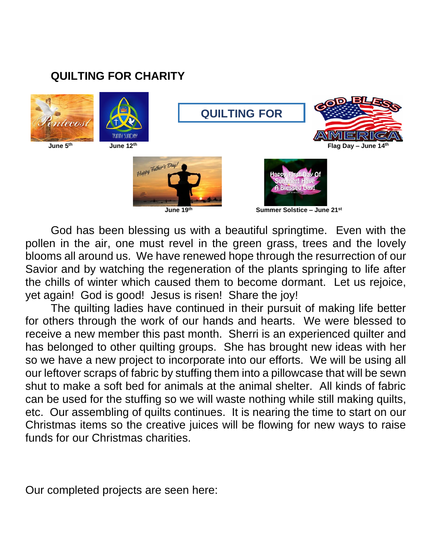# **QUILTING FOR CHARITY**





**QUILTING FOR**

**CHARGE CONSTRUCTION** 





 **Summer Solstice – June 21st**

God has been blessing us with a beautiful springtime. Even with the pollen in the air, one must revel in the green grass, trees and the lovely blooms all around us. We have renewed hope through the resurrection of our Savior and by watching the regeneration of the plants springing to life after the chills of winter which caused them to become dormant. Let us rejoice, yet again! God is good! Jesus is risen! Share the joy!

The quilting ladies have continued in their pursuit of making life better for others through the work of our hands and hearts. We were blessed to receive a new member this past month. Sherri is an experienced quilter and has belonged to other quilting groups. She has brought new ideas with her so we have a new project to incorporate into our efforts. We will be using all our leftover scraps of fabric by stuffing them into a pillowcase that will be sewn shut to make a soft bed for animals at the animal shelter. All kinds of fabric can be used for the stuffing so we will waste nothing while still making quilts, etc. Our assembling of quilts continues. It is nearing the time to start on our Christmas items so the creative juices will be flowing for new ways to raise funds for our Christmas charities.

Our completed projects are seen here: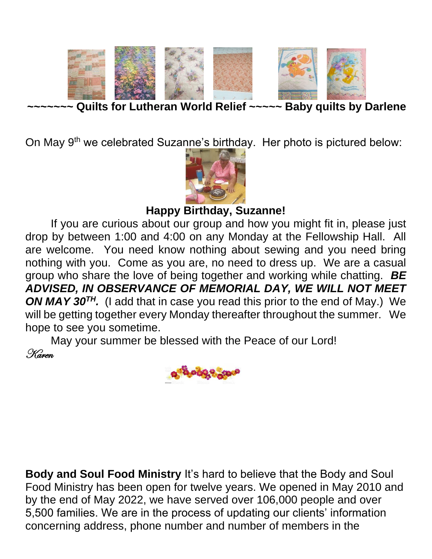

**Quilts for Lutheran World Relief ~~~~~ Baby quilts by Darlene** 

On May 9<sup>th</sup> we celebrated Suzanne's birthday. Her photo is pictured below:



**Happy Birthday, Suzanne!**

If you are curious about our group and how you might fit in, please just drop by between 1:00 and 4:00 on any Monday at the Fellowship Hall. All are welcome. You need know nothing about sewing and you need bring nothing with you. Come as you are, no need to dress up. We are a casual group who share the love of being together and working while chatting. *BE ADVISED, IN OBSERVANCE OF MEMORIAL DAY, WE WILL NOT MEET ON MAY 30TH.* (I add that in case you read this prior to the end of May.) We will be getting together every Monday thereafter throughout the summer. We hope to see you sometime.

May your summer be blessed with the Peace of our Lord! Karen



**Body and Soul Food Ministry** It's hard to believe that the Body and Soul Food Ministry has been open for twelve years. We opened in May 2010 and by the end of May 2022, we have served over 106,000 people and over 5,500 families. We are in the process of updating our clients' information concerning address, phone number and number of members in the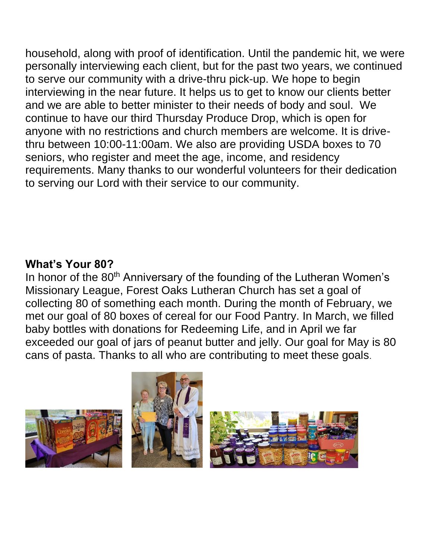household, along with proof of identification. Until the pandemic hit, we were personally interviewing each client, but for the past two years, we continued to serve our community with a drive-thru pick-up. We hope to begin interviewing in the near future. It helps us to get to know our clients better and we are able to better minister to their needs of body and soul. We continue to have our third Thursday Produce Drop, which is open for anyone with no restrictions and church members are welcome. It is drivethru between 10:00-11:00am. We also are providing USDA boxes to 70 seniors, who register and meet the age, income, and residency requirements. Many thanks to our wonderful volunteers for their dedication to serving our Lord with their service to our community.

# **What's Your 80?**

In honor of the 80<sup>th</sup> Anniversary of the founding of the Lutheran Women's Missionary League, Forest Oaks Lutheran Church has set a goal of collecting 80 of something each month. During the month of February, we met our goal of 80 boxes of cereal for our Food Pantry. In March, we filled baby bottles with donations for Redeeming Life, and in April we far exceeded our goal of jars of peanut butter and jelly. Our goal for May is 80 cans of pasta. Thanks to all who are contributing to meet these goals.

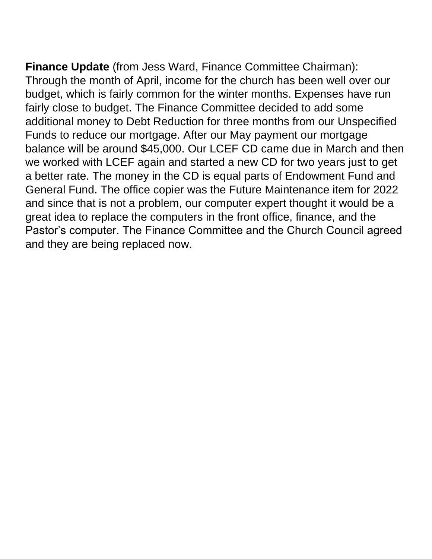**Finance Update** (from Jess Ward, Finance Committee Chairman): Through the month of April, income for the church has been well over our budget, which is fairly common for the winter months. Expenses have run fairly close to budget. The Finance Committee decided to add some additional money to Debt Reduction for three months from our Unspecified Funds to reduce our mortgage. After our May payment our mortgage balance will be around \$45,000. Our LCEF CD came due in March and then we worked with LCEF again and started a new CD for two years just to get a better rate. The money in the CD is equal parts of Endowment Fund and General Fund. The office copier was the Future Maintenance item for 2022 and since that is not a problem, our computer expert thought it would be a great idea to replace the computers in the front office, finance, and the Pastor's computer. The Finance Committee and the Church Council agreed and they are being replaced now.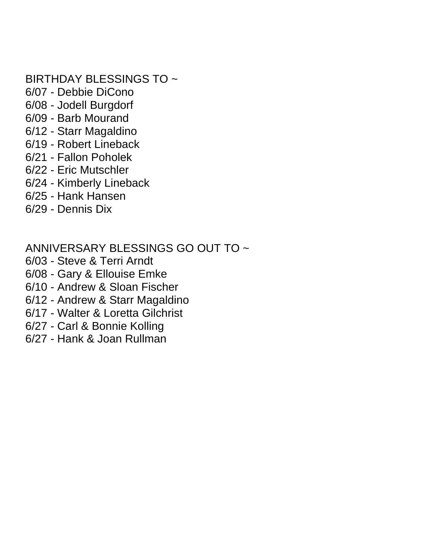### BIRTHDAY BLESSINGS TO ~

- 6/07 Debbie DiCono
- 6/08 Jodell Burgdorf
- 6/09 Barb Mourand
- 6/12 Starr Magaldino
- 6/19 Robert Lineback
- 6/21 Fallon Poholek
- 6/22 Eric Mutschler
- 6/24 Kimberly Lineback
- 6/25 Hank Hansen
- 6/29 Dennis Dix

### ANNIVERSARY BLESSINGS GO OUT TO ~

- 6/03 Steve & Terri Arndt
- 6/08 Gary & Ellouise Emke
- 6/10 Andrew & Sloan Fischer
- 6/12 Andrew & Starr Magaldino
- 6/17 Walter & Loretta Gilchrist
- 6/27 Carl & Bonnie Kolling
- 6/27 Hank & Joan Rullman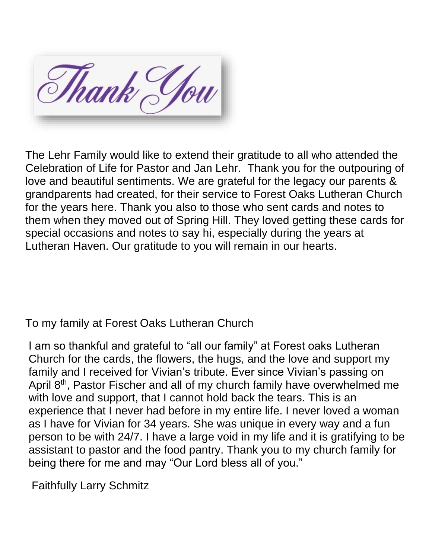Thank You

The Lehr Family would like to extend their gratitude to all who attended the Celebration of Life for Pastor and Jan Lehr. Thank you for the outpouring of love and beautiful sentiments. We are grateful for the legacy our parents & grandparents had created, for their service to Forest Oaks Lutheran Church for the years here. Thank you also to those who sent cards and notes to them when they moved out of Spring Hill. They loved getting these cards for special occasions and notes to say hi, especially during the years at Lutheran Haven. Our gratitude to you will remain in our hearts.

To my family at Forest Oaks Lutheran Church

I am so thankful and grateful to "all our family" at Forest oaks Lutheran Church for the cards, the flowers, the hugs, and the love and support my family and I received for Vivian's tribute. Ever since Vivian's passing on April 8<sup>th</sup>, Pastor Fischer and all of my church family have overwhelmed me with love and support, that I cannot hold back the tears. This is an experience that I never had before in my entire life. I never loved a woman as I have for Vivian for 34 years. She was unique in every way and a fun person to be with 24/7. I have a large void in my life and it is gratifying to be assistant to pastor and the food pantry. Thank you to my church family for being there for me and may "Our Lord bless all of you."

Faithfully Larry Schmitz